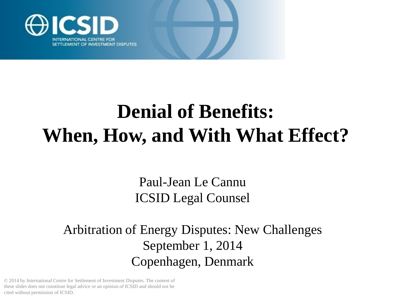

### **Denial of Benefits: When, How, and With What Effect?**

Paul-Jean Le Cannu ICSID Legal Counsel

Arbitration of Energy Disputes: New Challenges September 1, 2014 Copenhagen, Denmark

© 2014 by International Centre for Settlement of Investment Disputes. The content of these slides does not constitute legal advice or an opinion of ICSID and should not be cited without permission of ICSID.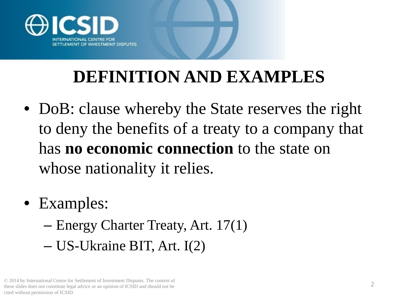

#### **DEFINITION AND EXAMPLES**

- DoB: clause whereby the State reserves the right to deny the benefits of a treaty to a company that has **no economic connection** to the state on whose nationality it relies.
- Examples:
	- Energy Charter Treaty, Art. 17(1)
	- US-Ukraine BIT, Art. I(2)

<sup>© 2014</sup> by International Centre for Settlement of Investment Disputes. The content of these slides does not constitute legal advice or an opinion of ICSID and should not be cited without permission of ICSID.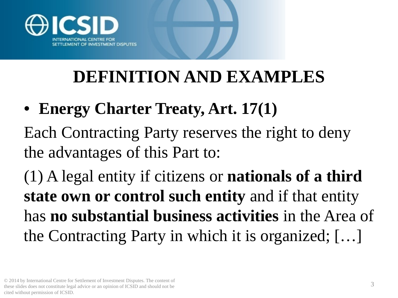

#### **DEFINITION AND EXAMPLES**

• **Energy Charter Treaty, Art. 17(1)**

Each Contracting Party reserves the right to deny the advantages of this Part to:

(1) A legal entity if citizens or **nationals of a third state own or control such entity** and if that entity has **no substantial business activities** in the Area of the Contracting Party in which it is organized; […]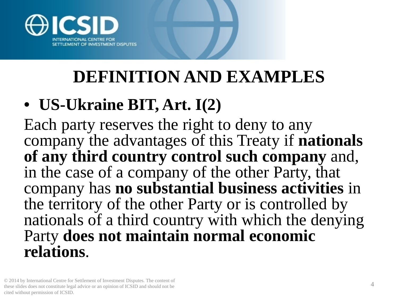

#### **DEFINITION AND EXAMPLES**

#### • **US-Ukraine BIT, Art. I(2)**

Each party reserves the right to deny to any company the advantages of this Treaty if **nationals of any third country control such company** and, in the case of a company of the other Party, that company has **no substantial business activities** in the territory of the other Party or is controlled by nationals of a third country with which the denying Party **does not maintain normal economic relations**.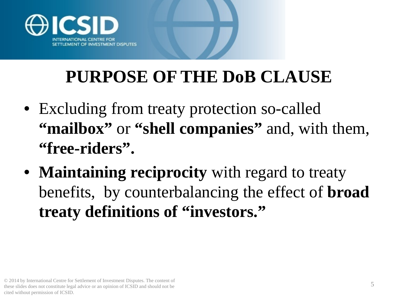

#### **PURPOSE OF THE DoB CLAUSE**

- Excluding from treaty protection so-called **"mailbox"** or **"shell companies"** and, with them, **"free-riders".**
- **Maintaining reciprocity** with regard to treaty benefits, by counterbalancing the effect of **broad treaty definitions of "investors."**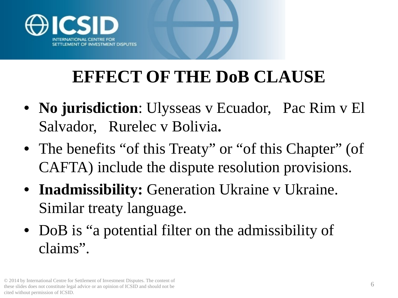

#### **EFFECT OF THE DoB CLAUSE**

- **No jurisdiction**: Ulysseas v Ecuador, Pac Rim v El Salvador, Rurelec v Bolivia**.**
- The benefits "of this Treaty" or "of this Chapter" (of CAFTA) include the dispute resolution provisions.
- **Inadmissibility:** Generation Ukraine v Ukraine. Similar treaty language.
- DoB is "a potential filter on the admissibility of claims".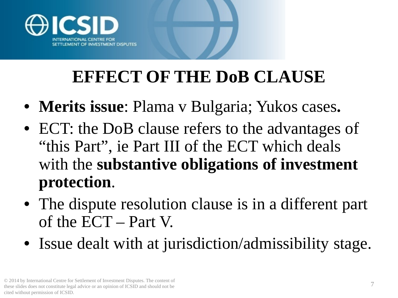

#### **EFFECT OF THE DoB CLAUSE**

- **Merits issue**: Plama v Bulgaria; Yukos cases**.**
- ECT: the DoB clause refers to the advantages of "this Part", ie Part III of the ECT which deals with the **substantive obligations of investment protection**.
- The dispute resolution clause is in a different part of the ECT – Part V.
- Issue dealt with at jurisdiction/admissibility stage.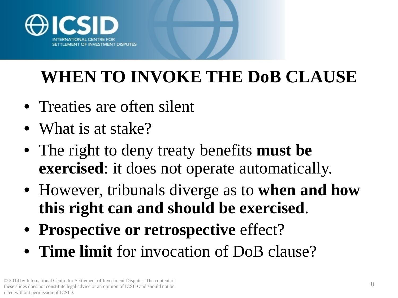

#### **WHEN TO INVOKE THE DoB CLAUSE**

- Treaties are often silent
- What is at stake?
- The right to deny treaty benefits **must be exercised**: it does not operate automatically.
- However, tribunals diverge as to **when and how this right can and should be exercised**.
- **Prospective or retrospective** effect?
- **Time limit** for invocation of DoB clause?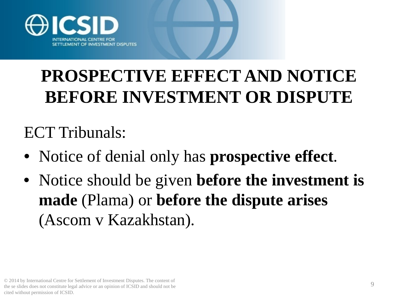

ECT Tribunals:

- Notice of denial only has **prospective effect**.
- Notice should be given **before the investment is made** (Plama) or **before the dispute arises**  (Ascom v Kazakhstan).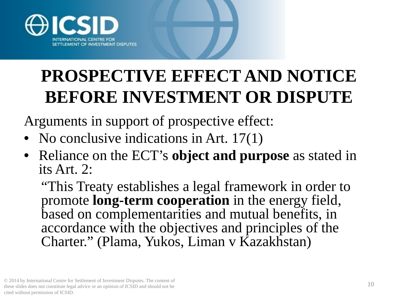

Arguments in support of prospective effect:

- No conclusive indications in Art. 17(1)
- Reliance on the ECT's **object and purpose** as stated in its Art. 2:

"This Treaty establishes a legal framework in order to promote **long-term cooperation** in the energy field, based on complementarities and mutual benefits, in accordance with the objectives and principles of the Charter." (Plama, Yukos, Liman v Kazakhstan)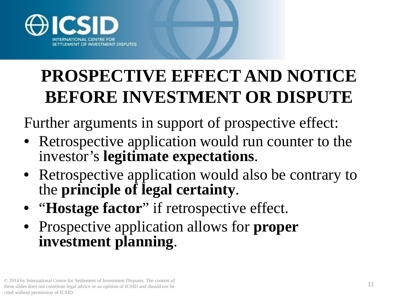

Further arguments in support of prospective effect:

- Retrospective application would run counter to the investor's **legitimate expectations**.
- Retrospective application would also be contrary to the **principle of legal certainty**.
- "**Hostage factor**" if retrospective effect.
- Prospective application allows for **proper investment planning**.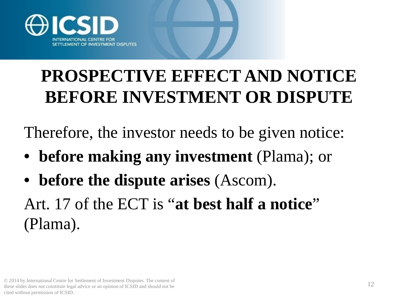

Therefore, the investor needs to be given notice:

- **before making any investment** (Plama); or
- **before the dispute arises** (Ascom).

Art. 17 of the ECT is "**at best half a notice**" (Plama).

<sup>12</sup> © 2014 by International Centre for Settlement of Investment Disputes. The content of these slides does not constitute legal advice or an opinion of ICSID and should not be cited without permission of ICSID.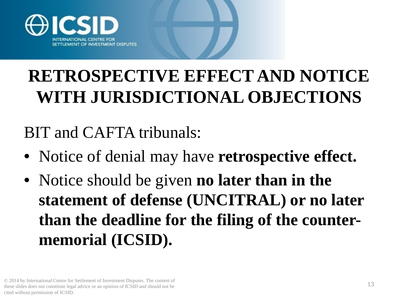

#### **RETROSPECTIVE EFFECT AND NOTICE WITH JURISDICTIONAL OBJECTIONS**

BIT and CAFTA tribunals:

- Notice of denial may have **retrospective effect.**
- Notice should be given **no later than in the statement of defense (UNCITRAL) or no later than the deadline for the filing of the countermemorial (ICSID).**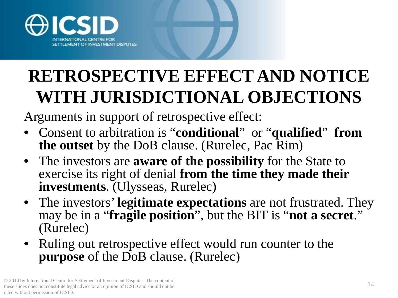

#### **RETROSPECTIVE EFFECT AND NOTICE WITH JURISDICTIONAL OBJECTIONS**

Arguments in support of retrospective effect:

- Consent to arbitration is "**conditional**" or "**qualified**" **from the outset** by the DoB clause. (Rurelec, Pac Rim)
- The investors are **aware of the possibility** for the State to exercise its right of denial **from the time they made their investments**. (Ulysseas, Rurelec)
- The investors' **legitimate expectations** are not frustrated. They may be in a "**fragile position**", but the BIT is "**not a secret**." (Rurelec)
- Ruling out retrospective effect would run counter to the **purpose** of the DoB clause. (Rurelec)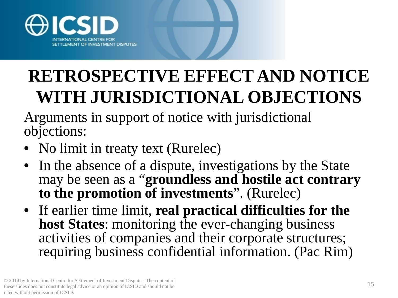

#### **RETROSPECTIVE EFFECT AND NOTICE WITH JURISDICTIONAL OBJECTIONS**

Arguments in support of notice with jurisdictional objections:

- No limit in treaty text (Rurelec)
- In the absence of a dispute, investigations by the State may be seen as a "**groundless and hostile act contrary to the promotion of investments**". (Rurelec)
- If earlier time limit, **real practical difficulties for the host States**: monitoring the ever-changing business activities of companies and their corporate structures; requiring business confidential information. (Pac Rim)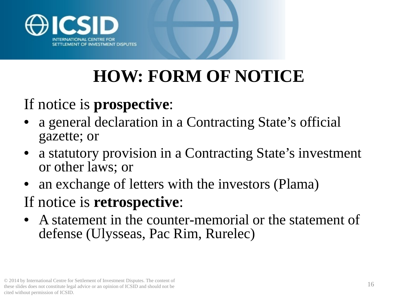

## **HOW: FORM OF NOTICE**

#### If notice is **prospective**:

- a general declaration in a Contracting State's official gazette; or
- a statutory provision in a Contracting State's investment or other laws; or
- an exchange of letters with the investors (Plama)
- If notice is **retrospective**:
- A statement in the counter-memorial or the statement of defense (Ulysseas, Pac Rim, Rurelec)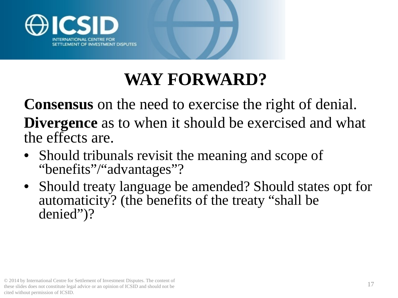

#### **WAY FORWARD?**

**Consensus** on the need to exercise the right of denial. **Divergence** as to when it should be exercised and what the effects are.

- Should tribunals revisit the meaning and scope of "benefits"/"advantages"?
- Should treaty language be amended? Should states opt for automaticity? (the benefits of the treaty "shall be denied")?